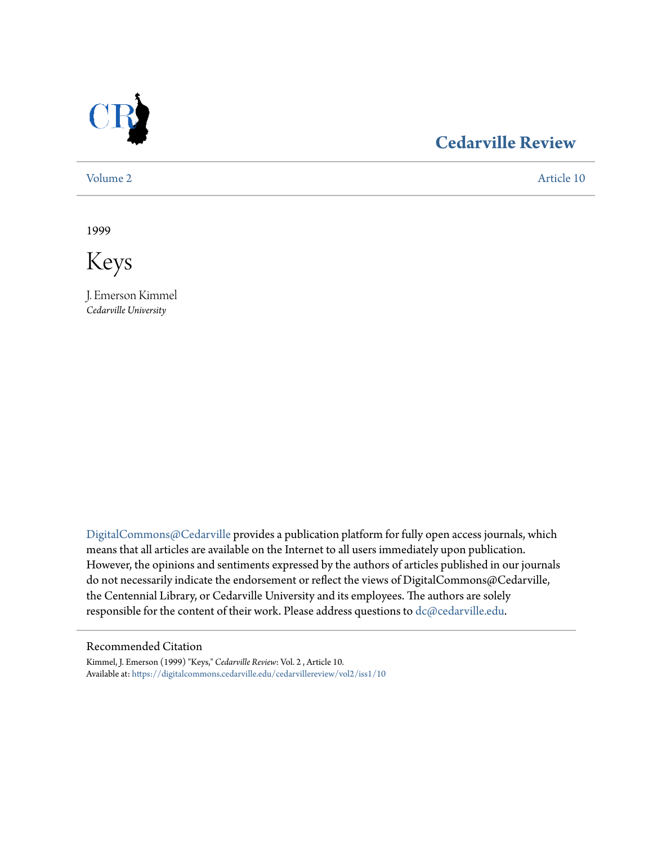

## **[Cedarville Review](https://digitalcommons.cedarville.edu/cedarvillereview?utm_source=digitalcommons.cedarville.edu%2Fcedarvillereview%2Fvol2%2Fiss1%2F10&utm_medium=PDF&utm_campaign=PDFCoverPages)**

[Volume 2](https://digitalcommons.cedarville.edu/cedarvillereview/vol2?utm_source=digitalcommons.cedarville.edu%2Fcedarvillereview%2Fvol2%2Fiss1%2F10&utm_medium=PDF&utm_campaign=PDFCoverPages) [Article 10](https://digitalcommons.cedarville.edu/cedarvillereview/vol2/iss1/10?utm_source=digitalcommons.cedarville.edu%2Fcedarvillereview%2Fvol2%2Fiss1%2F10&utm_medium=PDF&utm_campaign=PDFCoverPages)

1999

Keys

J. Emerson Kimmel *Cedarville University*

[DigitalCommons@Cedarville](http://digitalcommons.cedarville.edu) provides a publication platform for fully open access journals, which means that all articles are available on the Internet to all users immediately upon publication. However, the opinions and sentiments expressed by the authors of articles published in our journals do not necessarily indicate the endorsement or reflect the views of DigitalCommons@Cedarville, the Centennial Library, or Cedarville University and its employees. The authors are solely responsible for the content of their work. Please address questions to [dc@cedarville.edu](mailto:dc@cedarville.edu).

#### Recommended Citation

Kimmel, J. Emerson (1999) "Keys," *Cedarville Review*: Vol. 2 , Article 10. Available at: [https://digitalcommons.cedarville.edu/cedarvillereview/vol2/iss1/10](https://digitalcommons.cedarville.edu/cedarvillereview/vol2/iss1/10?utm_source=digitalcommons.cedarville.edu%2Fcedarvillereview%2Fvol2%2Fiss1%2F10&utm_medium=PDF&utm_campaign=PDFCoverPages)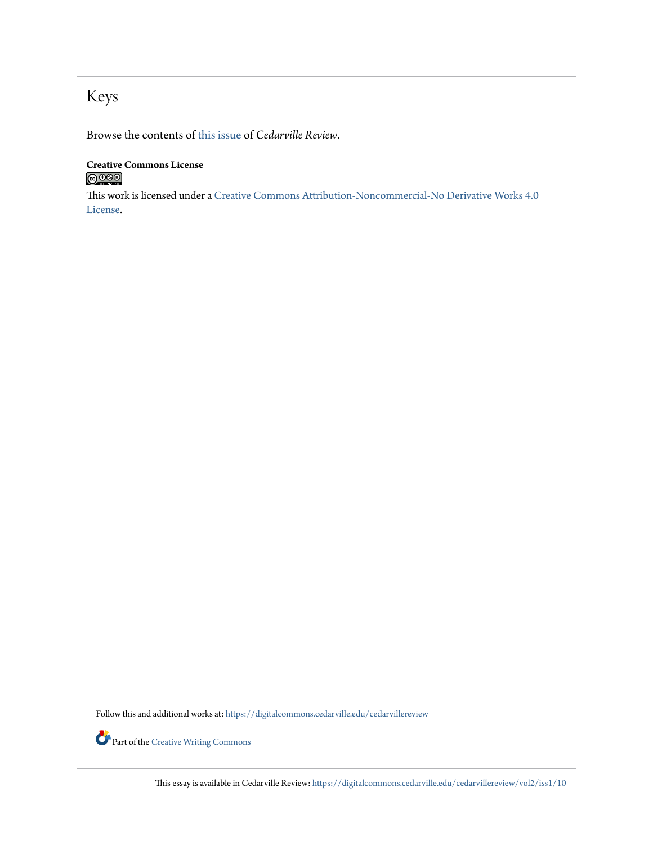# Keys

Browse the contents of [this issue](https://digitalcommons.cedarville.edu/cedarvillereview/vol2/iss1) of *Cedarville Review*.

#### **Creative Commons License**  $\bigcirc$  000

This work is licensed under a [Creative Commons Attribution-Noncommercial-No Derivative Works 4.0](http://creativecommons.org/licenses/by-nc-nd/4.0/) [License.](http://creativecommons.org/licenses/by-nc-nd/4.0/)

Follow this and additional works at: [https://digitalcommons.cedarville.edu/cedarvillereview](https://digitalcommons.cedarville.edu/cedarvillereview?utm_source=digitalcommons.cedarville.edu%2Fcedarvillereview%2Fvol2%2Fiss1%2F10&utm_medium=PDF&utm_campaign=PDFCoverPages)



Part of the <u>[Creative Writing Commons](http://network.bepress.com/hgg/discipline/574?utm_source=digitalcommons.cedarville.edu%2Fcedarvillereview%2Fvol2%2Fiss1%2F10&utm_medium=PDF&utm_campaign=PDFCoverPages)</u>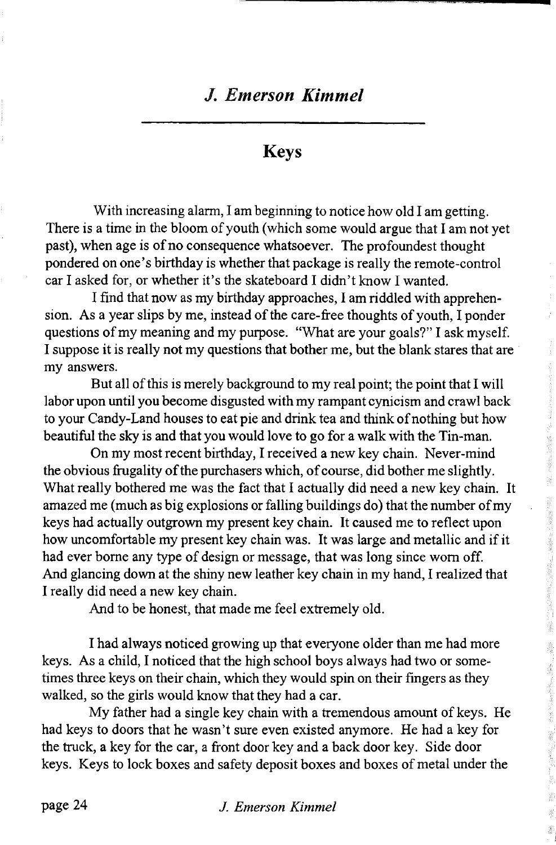### **Keys**

With increasing alarm, I am beginning to notice how old I am getting. There is a time in the bloom of youth (which some would argue that I am not yet past), when age is of no consequence whatsoever. The profoundest thought pondered on one's birthday is whether that package is really the remote-control car I asked for, or whether it's the skateboard I didn't know I wanted.

I find that now as my birthday approaches, I am riddled with apprehension. As a year slips by me, instead of the care-free thoughts of youth, I ponder questions of my meaning and my purpose. "What are your goals?" I ask myself. I suppose it is really not my questions that bother me, but the blank stares that are my answers.

But all of this is merely background to my real point; the point that I will labor upon until you become disgusted with my rampant cynicism and crawl back to your Candy-Land houses to eat pie and drink tea and think of nothing but how beautiful the sky is and that you would love to go for a walk with the Tin-man.

On my most recent birthday, I received a new key chain. Never-mind the obvious frugality of the purchasers which, of course, did bother me slightly. What really bothered me was the fact that I actually did need a new key chain. It amazed me (much as big explosions or falling buildings do) that the number of my keys had actually outgrown my present key chain. It caused me to reflect upon how uncomfortable my present key chain was. It was large and metallic and if it had ever borne any type of design or message, that was long since worn off. And glancing down at the shiny new leather key chain in my hand, I realized that I really did need a new key chain.

And to be honest, that made me feel extremely old.

I had always noticed growing up that everyone older than me had more keys. As a child, I noticed that the high school boys always had two or sometimes three keys on their chain, which they would spin on their fingers as they walked, so the girls would know that they had a car.

My father had a single key chain with a tremendous amount of keys. He had keys to doors that he wasn't sure even existed anymore. He had a key for the truck, a key for the car, a front door key and a back door key. Side door keys. Keys to lock boxes and safety deposit boxes and boxes of metal under the

page 24 *J. Emerson Kimmel*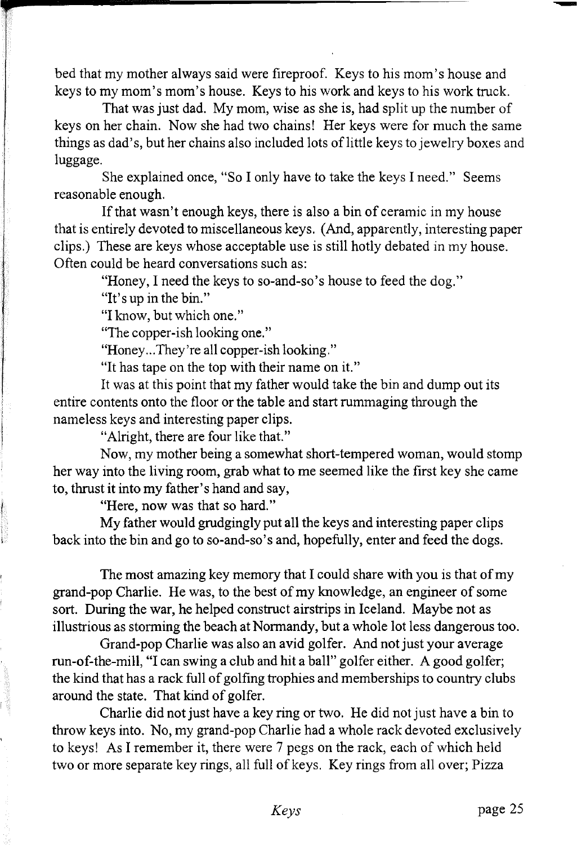bed that my mother always said were fireproof. Keys to his mom's house and keys to my mom's mom's house. Keys to his work and keys to his work truck.

That was just dad. My mom, wise as she is, had split up the number of keys on her chain. Now she had two chains! Her keys were for much the same things as dad's, but her chains also included lots of little keys to jewelry boxes and luggage.

She explained once, "So I only have to take the keys I need." Seems reasonable enough.

If that wasn't enough keys, there is also a bin of ceramic in my house that is entirely devoted to miscellaneous keys. (And, apparently, interesting paper clips.) These are keys whose acceptable use is still hotly debated in my house. Often could be heard conversations such as:

"Honey, I need the keys to so-and-so's house to feed the dog."

"It's up in the bin."

"I know, but which one."

"The copper-ish looking one."

"Honey...They're all copper-ish looking."

"It has tape on the top with their name on it."

It was at this point that my father would take the bin and dump out its entire contents onto the floor or the table and start rummaging through the nameless keys and interesting paper clips.

"Alright, there are four like that."

Now, my mother being a somewhat short-tempered woman, would stomp her way into the living room, grab what to me seemed like the first key she came to, thrust it into my father's hand and say,

"Here, now was that so hard."

My father would grudgingly put all the keys and interesting paper clips back into the bin and go to so-and-so's and, hopefully, enter and feed the dogs.

The most amazing key memory that I could share with you is that of my grand-pop Charlie. He was, to the best of my knowledge, an engineer of some sort. During the war, he helped construct airstrips in Iceland. Maybe not as illustrious as storming the beach at Normandy, but a whole lot less dangerous too.

Grand-pop Charlie was also an avid golfer. And not just your average run-of-the-mill, "I can swing a club and hit a ball" golfer either. A good golfer; the kind that has a rack full of golfing trophies and memberships to country clubs around the state. That kind of golfer.

Charlie did not just have a key ring or two. He did not just have a bin to throw keys into. No, my grand-pop Charlie had a whole rack devoted exclusively to keys! As I remember it, there were 7 pegs on the rack, each of which held two or more separate key rings, all full of keys. Key rings from all over; Pizza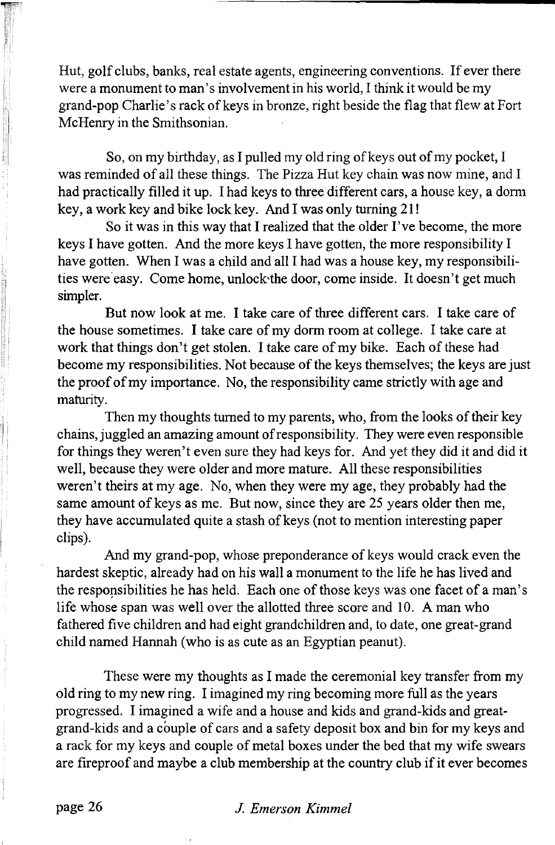Hut, golf clubs, banks, real estate agents, engineering conventions. If ever there were a monument to man's involvement in his world, I think it would be my grand-pop Charlie's rack of keys in bronze, right beside the flag that flew at Fort McHenry in the Smithsonian.

So, on my birthday, as I pulled my old ring of keys out of my pocket, I was reminded of all these things. The Pizza Hut key chain was now mine, and I had practically filled it up. I had keys to three different cars, a house key, a dorm key, a work key and bike lock key. And I was only turning 21!

So it was in this way that I realized that the older I've become, the more keys I have gotten. And the more keys I have gotten, the more responsibility I have gotten. When I was a child and all I had was a house key, my responsibilities were easy. Come home, unlock'the door, come inside. It doesn't get much simpler.

But now look at me. I take care of three different cars. I take care of the house sometimes. I take care of my dorm room at college. I take care at work that things don't get stolen. I take care of my bike. Each of these had become my responsibilities. Not because of the keys themselves; the keys are just the proof of my importance. No, the responsibility came strictly with age and maturity.

Then my thoughts turned to my parents, who, from the looks of their key chains, juggled an amazing amount of responsibility. They were even responsible for things they weren't even sure they had keys for. And yet they did it and did it well, because they were older and more mature. All these responsibilities weren't theirs at my age. No, when they were my age, they probably had the same amount of keys as me. But now, since they are 25 years older then me, they have accumulated quite a stash of keys (not to mention interesting paper clips).

And my grand-pop, whose preponderance of keys would crack even the hardest skeptic, already had on his wall a monument to the life he has lived and the responsibilities he has held. Each one of those keys was one facet of a man's life whose span was well over the allotted three score and 10. A man who fathered five children and had eight grandchildren and, to date, one great-grand child named Hannah (who is as cute as an Egyptian peanut).

These were my thoughts as I made the ceremonial key transfer from my old ring to my new ring. I imagined my ring becoming more full as the years progressed. I imagined a wife and a house and kids and grand-kids and greatgrand-kids and a couple of cars and a safety deposit box and bin for my keys and a rack for my keys and couple of metal boxes under the bed that my wife swears are fireproof and maybe a club membership at the country club if it ever becomes